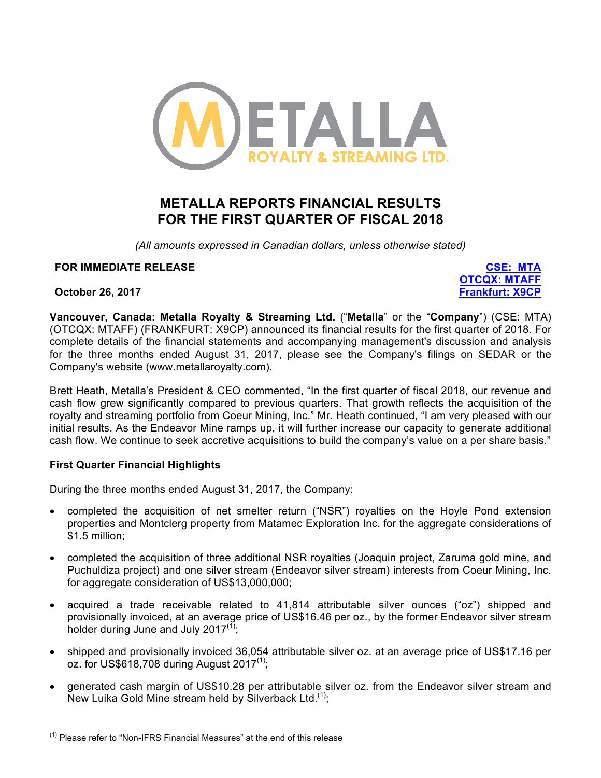

# **METALLA REPORTS FINANCIAL RESULTS FOR THE FIRST QUARTER OF FISCAL 2018**

*(All amounts expressed in Canadian dollars, unless otherwise stated)*

## **FOR IMMEDIATE RELEASE CSE: MTA**

**OTCQX: MTAFF**

## **October 26, 2017 Frankfurt: X9CP**

**Vancouver, Canada: Metalla Royalty & Streaming Ltd.** ("**Metalla**" or the "**Company**") (CSE: MTA) (OTCQX: MTAFF) (FRANKFURT: X9CP) announced its financial results for the first quarter of 2018. For complete details of the financial statements and accompanying management's discussion and analysis for the three months ended August 31, 2017, please see the Company's filings on SEDAR or the Company's website (www.metallaroyalty.com).

Brett Heath, Metalla's President & CEO commented, "In the first quarter of fiscal 2018, our revenue and cash flow grew significantly compared to previous quarters. That growth reflects the acquisition of the royalty and streaming portfolio from Coeur Mining, Inc." Mr. Heath continued, "I am very pleased with our initial results. As the Endeavor Mine ramps up, it will further increase our capacity to generate additional cash flow. We continue to seek accretive acquisitions to build the company's value on a per share basis."

# **First Quarter Financial Highlights**

During the three months ended August 31, 2017, the Company:

- completed the acquisition of net smelter return ("NSR") royalties on the Hoyle Pond extension properties and Montclerg property from Matamec Exploration Inc. for the aggregate considerations of \$1.5 million;
- completed the acquisition of three additional NSR royalties (Joaquin project, Zaruma gold mine, and Puchuldiza project) and one silver stream (Endeavor silver stream) interests from Coeur Mining, Inc. for aggregate consideration of US\$13,000,000;
- acquired a trade receivable related to 41,814 attributable silver ounces ("oz") shipped and provisionally invoiced, at an average price of US\$16.46 per oz., by the former Endeavor silver stream holder during June and July 2017 $(1)$ ;
- shipped and provisionally invoiced 36,054 attributable silver oz. at an average price of US\$17.16 per oz. for US\$618,708 during August  $2017^{(1)}$ ;
- generated cash margin of US\$10.28 per attributable silver oz. from the Endeavor silver stream and New Luika Gold Mine stream held by Silverback Ltd. $(1)$ :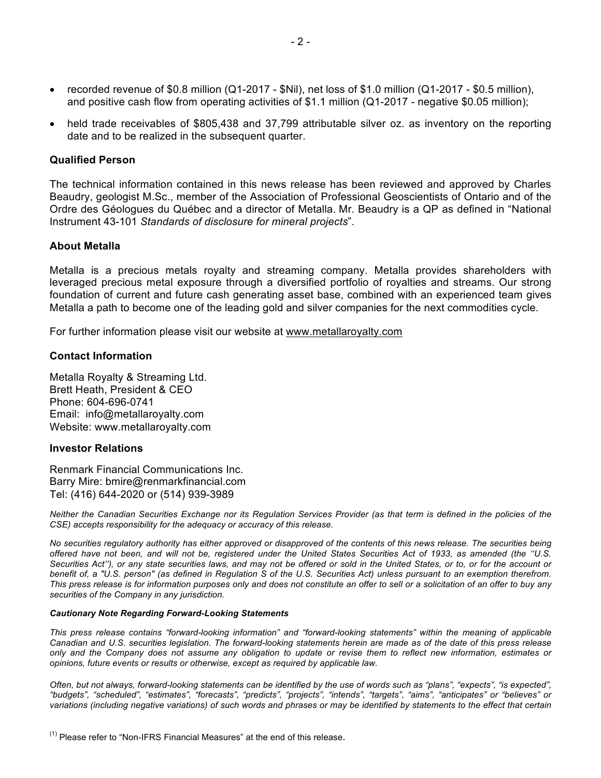- recorded revenue of  $$0.8$  million (Q1-2017  $$Nil$ ), net loss of  $$1.0$  million (Q1-2017  $$0.5$  million), and positive cash flow from operating activities of \$1.1 million (Q1-2017 - negative \$0.05 million);
- held trade receivables of \$805,438 and 37,799 attributable silver oz. as inventory on the reporting date and to be realized in the subsequent quarter.

### **Qualified Person**

The technical information contained in this news release has been reviewed and approved by Charles Beaudry, geologist M.Sc., member of the Association of Professional Geoscientists of Ontario and of the Ordre des Géologues du Québec and a director of Metalla. Mr. Beaudry is a QP as defined in "National Instrument 43-101 *Standards of disclosure for mineral projects*".

### **About Metalla**

Metalla is a precious metals royalty and streaming company. Metalla provides shareholders with leveraged precious metal exposure through a diversified portfolio of royalties and streams. Our strong foundation of current and future cash generating asset base, combined with an experienced team gives Metalla a path to become one of the leading gold and silver companies for the next commodities cycle.

For further information please visit our website at www.metallaroyalty.com

#### **Contact Information**

Metalla Royalty & Streaming Ltd. Brett Heath, President & CEO Phone: 604-696-0741 Email: info@metallaroyalty.com Website: www.metallaroyalty.com

#### **Investor Relations**

Renmark Financial Communications Inc. Barry Mire: bmire@renmarkfinancial.com Tel: (416) 644-2020 or (514) 939-3989

*Neither the Canadian Securities Exchange nor its Regulation Services Provider (as that term is defined in the policies of the CSE) accepts responsibility for the adequacy or accuracy of this release.*

*No securities regulatory authority has either approved or disapproved of the contents of this news release. The securities being offered have not been, and will not be, registered under the United States Securities Act of 1933, as amended (the ''U.S. Securities Act''), or any state securities laws, and may not be offered or sold in the United States, or to, or for the account or benefit of, a "U.S. person" (as defined in Regulation S of the U.S. Securities Act) unless pursuant to an exemption therefrom. This press release is for information purposes only and does not constitute an offer to sell or a solicitation of an offer to buy any securities of the Company in any jurisdiction.*

#### *Cautionary Note Regarding Forward-Looking Statements*

*This press release contains "forward-looking information" and "forward-looking statements" within the meaning of applicable Canadian and U.S. securities legislation. The forward-looking statements herein are made as of the date of this press release only and the Company does not assume any obligation to update or revise them to reflect new information, estimates or opinions, future events or results or otherwise, except as required by applicable law.* 

*Often, but not always, forward-looking statements can be identified by the use of words such as "plans", "expects", "is expected", "budgets", "scheduled", "estimates", "forecasts", "predicts", "projects", "intends", "targets", "aims", "anticipates" or "believes" or variations (including negative variations) of such words and phrases or may be identified by statements to the effect that certain*